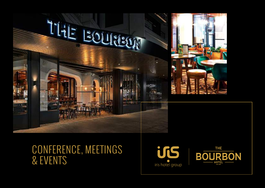

# CONFERENCE, MEETINGS & EVENTS



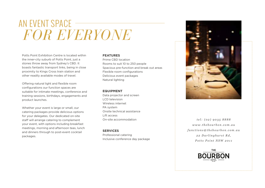# AN EVENT SPACE  *FOR EVERYONE*

Potts Point Exhibition Centre is located within the inner-city suburb of Potts Point, just a stones throw away from Sydney's CBD. It boasts fantastic transport links, being in close proximity to Kings Cross train station and other readily available modes of travel.

Offering natural light and flexible room configurations our function spaces are suitable for intimate meetings, conference and training sessions, birthdays, engagements and product launches.

Whether your event is large or small, our catering packages provide delicious options for your delegates. Our dedicated on-site staff will arrange catering to complement your event, with options including breakfast meetings, morning and afternoon teas, lunch and dinners through to post-event cocktail packages.

#### **FEATURES**

Prime CBD location Rooms to suit 10 to 250 people Spacious pre-function and break out areas Flexible room configurations Delicious event packages Natural lighting

#### **EQUIPMENT**

Data projector and screen LCD television Wireless internet PA system Onsite technical assistance Lift access On-site accommodation

**SERVICES** Professional catering Inclusive conference day package



*tel: (02) 9035 8888 www.thebourbon.com.au functions@thebourbon.com.au 22 Darlinghurst Rd, Potts Point NSW 2011*

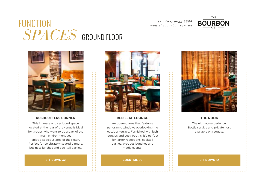

# FUNCTION  *SPACES* GROUND FLOOR



#### **RUSHCUTTERS CORNER**

This intimate and secluded space located at the rear of the venue is ideal for groups who want to be a part of the main environment yet enjoy a spacious area of their own. Perfect for celebratory seated dinners, business lunches and cocktail parties.



#### **RED LEAF LOUNGE**

An opened area that features panoramic windows overlooking the outdoor terrace. Furnished with lush lounges and cosy booths, it's perfect for larger receptions, cocktail parties, product launches and media events.



#### **THE NOOK**

The ultimate experience. Bottle service and private host available on request.

**SIT-DOWN 32**

**COCKTAIL 80**

**SIT-DOWN 12**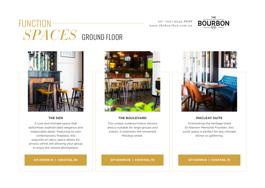

# FUNCTION- *SPACES* GROUND FLOOR



#### **THE DEN**

A luxe and intimate space that epitomises sophisticated elegance and impeccable detail. Featuring its own contemporary fireplace, this exquisite art deco space allows for privacy whilst still allowing your group to enjoy the venues atmosphere.

**SIT-DOWN 14 | COCKTAIL 30**



### **THE BOULEVARD**

This unique outdoor/indoor terrace area is suitable for large groups and events. It overlooks the renowned Macleay street.

**SIT-DOWN 35 | COCKTAIL 70**



### **MACLEAY SUITE**

Overlooking the heritage listed El-Alamein Memorial Fountain, this sunlit space is perfect for any intimate dinner or gathering.

**SIT-DOWN 6 | COCKTAIL 15**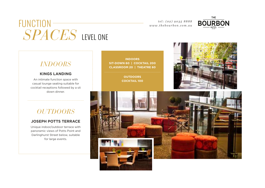

# FUNCTION -SPACES LEVEL ONE

## *INDOORS*

### **KINGS LANDING**

An intimate function space with casual lounge seating suitable for cocktail receptions followed by a sit down dinner.

# *OUTDOORS*

### **JOSEPH POTTS TERRACE**

Unique indoor/outdoor terrace with panoramic views of Potts Point and Darlinghurst Street below, suitable for large events.

**INDOORS SIT-DOWN 60 | COCKTAIL 200 CLASSROOM 20 | THEATRE 60**

> **OUTDOORS COCKTAIL 100**



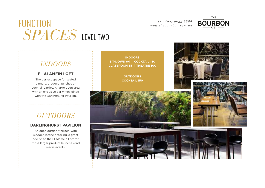

# FUNCTION-SPACES LEVEL TWO

## *INDOORS*

### **EL ALAMEIN LOFT**

The perfect space for seated dinners, product launches or cocktail parties. A large open area with an exclusive bar when joined with the Darlinghurst Pavilion.

# *OUTDOORS*

### **DARLINGHURST PAVILION**

An open outdoor terrace, with wooden lattice detailing, a great add on to the El Alamein Loft for those larger product launches and media events.

**INDOORS SIT-DOWN 64 | COCKTAIL 150 CLASSROOM 55 | THEATRE 100**

> **OUTDOORS COCKTAIL 150**



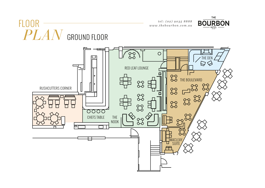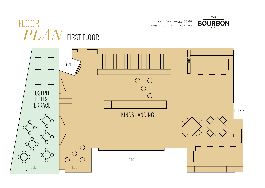## THE FLOOR *tel: (02) 9035 8888* **BOURBON** *www.thebourbon.com.au PLAN* FIRST FLOOR 冒 LIFT  $\bigcirc$  $\bigcirc$ **JOSEPH**  $\bigcap$ POTTS TERRACE **TOILETS** KINGS LANDING LCD  $\bigcap$  $\bigcap$ BAR LCD LCD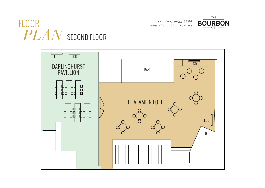

# FLOOR  *PLAN* SECOND FLOOR

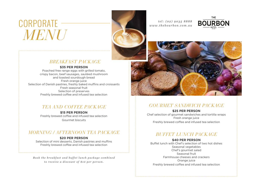# CORPORATE  *MENU*



*tel: (02) 9035 8888 www.thebourbon.com.au*





## *BREAKFAST PACKAGE*

#### **\$35 PER PERSON**

Poached free range eggs with grilled tomato, crispy bacon, beef sausages, sautéed mushroom and toasted sourdough bread Fresh orange juice Selection of Danish pastries, freshly baked muffins and croissants Fresh seasonal fruit Selection of preserves Freshly brewed coffee and infused tea selection

### *TEA AND COFFEE PACKAGE*

**\$15 PER PERSON** Freshly brewed coffee and infused tea selection Gourmet biscuits

### *MORNING / AFTERNOON TEA PACKAGE*

#### **\$20 PER PERSON**

Selection of mini desserts, Danish pastries and muffins Freshly brewed coffee and infused tea selection

*Book the breakfast and buffet lunch package combined to receive a discount of \$10 per person.*

### *GOURMET SANDWICH PACKAGE*

**\$25 PER PERSON** Chef selection of gourmet sandwiches and tortilla wraps Fresh orange juice Freshly brewed coffee and infused tea selection

### *BUFFET LUNCH PACKAGE*

#### **\$40 PER PERSON**

Buffet lunch with Chef's selection of two hot dishes Seasonal vegetables Chef's gourmet salad Seasonal fruit Farmhouse cheeses and crackers Orange juice Freshly brewed coffee and infused tea selection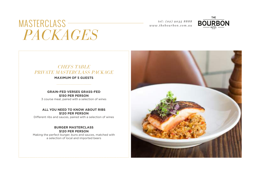

# MASTERCLASS  *PACKAGES*

### *CHEFS TABLE PRIVATE MASTERCLASS PACKAGE*

### **MAXIMUM OF 5 GUESTS**

### **GRAIN-FED VERSES GRASS-FED \$150 PER PERSON**

3 course meal, paired with a selection of wines

### **ALL YOU NEED TO KNOW ABOUT RIBS \$120 PER PERSON**

Different ribs and sauces, paired with a selection of wines

#### **BURGER MASTERCLASS \$120 PER PERSON**

Making the perfect burger, buns and sauces, matched with a selection of local and imported beers

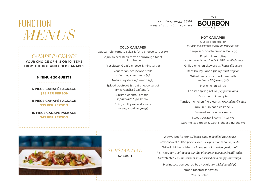# FUNCTION  *MENUS*

### *CANAPE PACKAGES*

**YOUR CHOICE OF 6, 8 OR 10 ITEMS FROM THE HOT AND COLD CANAPES**

#### **MINIMUM 20 GUESTS**

**6 PIECE CANAPÉ PACKAGE \$28 PER PERSON**

**8 PIECE CANAPÉ PACKAGE \$35 PER PERSON**

**10 PIECE CANAPÉ PACKAGE \$45 PER PERSON**

**COLD CANAPÉS**

Guacamole, tomato salsa & fetta cheese tartlet (v)

Cajun spiced steak tartar, sourdough toast, micro herbs

Prosciutto, Goat's cheese & mint tartlet

Vegetarian rice pepper rolls *w/ hoisin peanut sauce (v)*

Natural oysters w/ lemon (gf)

Spiced beetroot & goat cheese tartlet *w/ caramelised walnuts (v)*

> Shrimp cocktail crostini *w/ avocado & garlic aiol* Spicy chilli prawn skewers

*w/ pepperoni mayo (gf)*

*tel: (02) 9035 8888 www.thebourbon.com.au*



#### **HOT CANAPÉS**

Oyster Rockefeller *w/ brioche crumbs & cafe de Paris butter* Pumpkin & ricotta arancini balls (v) Fried chicken bites *w/ a buttermilk marinade & BBQ devilled sauce* Grilled chicken skewers *w/ house dill sauce* Beef bourguignon pie *w/ crushed peas* Grilled bacon wrapped meatballs *w/ house BBQ sauce (gf)* Hot chicken wings Lobster spring roll *w/ pepperoni aioli* Gourmet chicken pie Tandoori chicken filo cigar *w/ roasted garlic aioli* Pumpkin & spinach calzone (v) Smoked salmon croquette Sweet potato & corn fritter (v) Caramelised onion & Goat's cheese quiche (v)



## *SUBSTANTIAL* **\$7 EACH**

Wagyu beef slider *w/ house slaw & devilled BBQ sauce* Slow cooked pulled pork slider *w/ Dijon aioli & house pickles* Grilled chicken slider *w/ house slaw & roasted garlic aioli* Fish taco *w/ a soft wheat tortilla, pineapple, avocado & chilli salsa* Scotch steak *w/ mushroom sauce served on a crispy sourdough* Marinated, pan seared baby squid *w/ witlof salad (gf)*  Reuben toasted sandwich

Caesar salad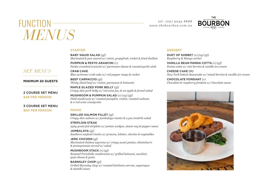# FUNCTION- *MENUS*

*tel: (02) 9035 8888 www.thebourbon.com.au*



### **STARTER**

**BABY SQUID SALAD** *(gf) Marinated & pan seared w/ onion, grapefruit, rocket & fried shallots*

**PUMPKIN & PESTO ARANCINI** *(v) Panko crumbed arancini w/ parmesan cheese & roasted garlic aioli*

**CRAB CAKE** *Blue swimmer crab cake w/ red pepper mayo & rocket*

**BEEF CARPACCIO** *(gf) Thinly sliced beef w/ rocket, parmesan & balsamic*

**MAPLE GLAZED PORK BELLY** *(gf) Crispy skin pork belly w/ red wine jus, & an apple & fennel salad*

**MUSHROOM & PUMPKIN SALAD** *(v) (vg) (gf) Field mushroom w/ roasted pumpkin, rocket, roasted walnuts & a red wine vinaigrette*

### **MAINS**

**GRILLED SALMON FILLET** *(gf) Crispy skin salmon w/ jambalaya risotto & a pea tendrils salad*

**STRIPLOIN STEAK** *250g grain fed striploin w/ potato wedges, steam veg & pepper sauce*

**JAMBALAYA** *(gf) Southern seafood risotto w/ prawns, lobster, chorizo & vegetables*

**JERK CHICKEN** *(gf) Marinated chicken supreme w/ crispy sweet potato, chimichurri & pomegranate served w/ salad*

**MUSHROOM STACK** *(v) (gf) Roasted Portobello mushrooms w/ grilled haloumi, zucchini, goat cheese & pesto*

**BARNSLEY CHOP** *(gf) Grilled Barnsley chop w/ roasted heirloom carrots, asparagus & tzatziki sauce*

#### **DESSERT**

**DUET OF SORBET** *(v) (vg) (gf) Raspberry & Mango sorbet*

**VANILLA BEAN PANNA COTTA** *(v) (gf) Panna cotta w/ mix berries & vanilla ice cream*

**CHEESE CAKE (V)**  *New York baked cheesecake w/ mixed berries & vanilla ice cream*

**CHOCOLATE FONDANT** *(v) Chocolate & raspberry fondant w/ chocolate sauce*



### *SET MENUS*

### **MINIMUM 20 GUESTS**

**2 COURSE SET MENU \$48 PER PERSON**

### **3 COURSE SET MENU \$60 PER PERSON**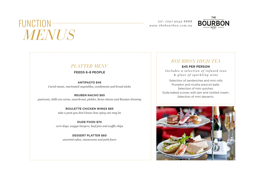# FUNCTION —  *MENUS*

*tel: (02) 9035 8888 www.thebourbon.com.au*



### *PLATTER MENU*

#### **FEEDS 6-8 PEOPLE**

**ANTIPASTO \$45** *Cured meats, marinated vegetables, condiments and bread sticks*

**REUBEN NACHO \$65** *pastrami, chilli con carne, sauerkraut, pickles, Swiss cheese and Russian dressing*

> **ROULETTE CHICKEN WINGS \$65** *take a punt you don't know how spicy one may be*

**DUDE FOOD \$70** *corn dogs, wagyu burgers, beef pies and waffle chips*

**DESSERT PLATTER \$60** *assorted cakes, macaroons and petit fours*

## *BOURBON HIGH TEA*

**\$45 PER PERSON** *Includes a selection of infused teas & glass of sparkling wine*

Selection of sandwiches and mini rolls. Pumpkin and ricotta arancini balls. Selection of mini quiches. Soda baked scones with jam and clotted cream. Selection of mini desserts.

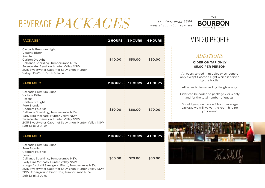# BEVERAGE *PACKAGES*

*tel: (02) 9035 8888 www.thebourbon.com.au*



| <b>PACKAGE1</b>                                                                                                                                                                                                                                                                                                                     | 2 HOURS        | <b>3 HOURS</b> | <b>4 HOURS</b> |
|-------------------------------------------------------------------------------------------------------------------------------------------------------------------------------------------------------------------------------------------------------------------------------------------------------------------------------------|----------------|----------------|----------------|
| Cascade Premium Light<br>Victoria Bitter<br>Reschs<br>Carlton Draught<br>Dalliance Sparkling, Tumbarumba NSW<br>Sweetwater Semillon, Hunter Valley NSW<br>2015 Sweetwater Cabernet Sauvignon, Hunter<br>Valley NSWSoft Drink & Juice                                                                                                | \$40.00        | \$50.00        | \$60.00        |
| <b>PACKAGE 2</b>                                                                                                                                                                                                                                                                                                                    | <b>2 HOURS</b> | <b>3 HOURS</b> | <b>4 HOURS</b> |
| Cascade Premium Light<br>Victoria Bitter<br>Reschs<br>Carlton Draught<br>Pure Blonde<br>Coopers Pale Ale<br>Dalliance Sparkling, Tumbarumba NSW<br>Early Bird Moscato, Hunter Valley NSW<br>Sweetwater Semillon, Hunter Valley NSW<br>2015 Sweetwater Cabernet Sauvignon, Hunter Valley NSW<br>Soft Drink & Juice                   | \$50.00        | \$60.00        | \$70.00        |
| <b>PACKAGE 3</b>                                                                                                                                                                                                                                                                                                                    | <b>2 HOURS</b> | <b>3 HOURS</b> | <b>4 HOURS</b> |
| Cascade Premium Light<br>Pure Blonde<br>Coopers Pale Ale<br>Peroni<br>Dalliance Sparkling, Tumbarumba NSW<br>Early Bird Moscato, Hunter Valley NSW<br>Hungerford Hill Sauvignon Blanc, Tumbarumba NSW<br>2015 Sweetwater Cabernet Sauvignon, Hunter Valley NSW<br>2015 Underground Pinot Noir, Tumbarumba NSW<br>Soft Drink & Juice | \$60.00        | \$70.00        | \$80,00        |

3.

# MIN 20 PEOPLE

### *ADDITIONS*

### **CIDER ON TAP ONLY \$5.00 PER PERSON**

All beers served in middies or schooners only except Cascade Light which is served by the bottle.

All wines to be served by the glass only.

Cider can be added to package 2 or 3 only and for the total number of guests.

Should you purchase a 4 hour beverage package we will waiver the room hire for your event.